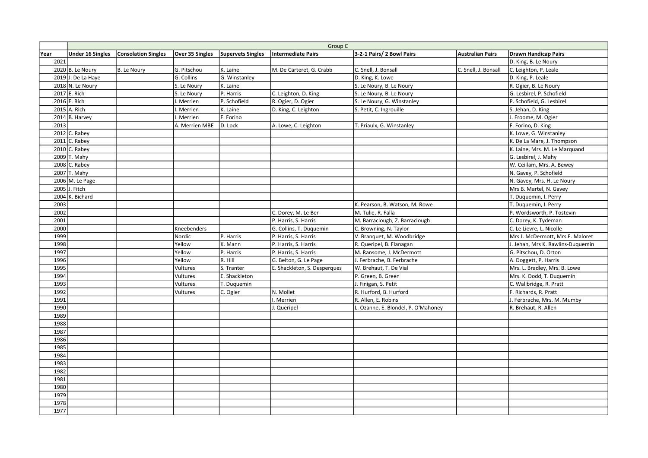|      | Group C                 |                            |                 |                          |                              |                                    |                         |                                   |
|------|-------------------------|----------------------------|-----------------|--------------------------|------------------------------|------------------------------------|-------------------------|-----------------------------------|
| Year | <b>Under 16 Singles</b> | <b>Consolation Singles</b> | Over 35 Singles | <b>Supervets Singles</b> | <b>Intermediate Pairs</b>    | 3-2-1 Pairs/ 2 Bowl Pairs          | <b>Australian Pairs</b> | <b>Drawn Handicap Pairs</b>       |
| 2021 |                         |                            |                 |                          |                              |                                    |                         | D. King, B. Le Noury              |
|      | $2020$ B. Le Noury      | B. Le Noury                | G. Pitschou     | K. Laine                 | M. De Carteret, G. Crabb     | C. Snell, J. Bonsall               | C. Snell, J. Bonsall    | C. Leighton, P. Leale             |
|      | $2019$ J. De La Haye    |                            | G. Collins      | G. Winstanley            |                              | D. King, K. Lowe                   |                         | D. King, P. Leale                 |
|      | $2018$ N. Le Noury      |                            | S. Le Noury     | K. Laine                 |                              | S. Le Noury, B. Le Noury           |                         | R. Ogier, B. Le Noury             |
|      | 2017 E. Rich            |                            | S. Le Noury     | P. Harris                | C. Leighton, D. King         | S. Le Noury, B. Le Noury           |                         | G. Lesbirel, P. Schofield         |
|      | 2016 E. Rich            |                            | Merrien         | P. Schofield             | R. Ogier, D. Ogier           | S. Le Noury, G. Winstanley         |                         | P. Schofield, G. Lesbirel         |
|      | 2015 A. Rich            |                            | Merrien         | K. Laine                 | D. King, C. Leighton         | S. Petit, C. Ingrouille            |                         | S. Jehan, D. King                 |
|      | $2014$ B. Harvey        |                            | Merrien         | F. Forino                |                              |                                    |                         | J. Froome, M. Ogier               |
| 2013 |                         |                            | A. Merrien MBE  | D. Lock                  | A. Lowe, C. Leighton         | T. Priaulx, G. Winstanley          |                         | F. Forino, D. King                |
|      | $2012$ C. Rabey         |                            |                 |                          |                              |                                    |                         | K. Lowe, G. Winstanley            |
|      | $2011$ C. Rabey         |                            |                 |                          |                              |                                    |                         | K. De La Mare, J. Thompson        |
|      | $2010$ C. Rabey         |                            |                 |                          |                              |                                    |                         | K. Laine, Mrs. M. Le Marquand     |
|      | $2009$ T. Mahy          |                            |                 |                          |                              |                                    |                         | G. Lesbirel, J. Mahy              |
|      | $2008$ C. Rabey         |                            |                 |                          |                              |                                    |                         | W. Ceillam, Mrs. A. Bewey         |
|      | 2007 T. Mahy            |                            |                 |                          |                              |                                    |                         | N. Gavey, P. Schofield            |
|      | 2006 M. Le Page         |                            |                 |                          |                              |                                    |                         | N. Gavey, Mrs. H. Le Noury        |
|      | 2005 J. Fitch           |                            |                 |                          |                              |                                    |                         | Mrs B. Martel, N. Gavey           |
|      | 2004 K. Bichard         |                            |                 |                          |                              |                                    |                         | T. Duquemin, I. Perry             |
| 2003 |                         |                            |                 |                          |                              | K. Pearson, B. Watson, M. Rowe     |                         | T. Duquemin, I. Perry             |
| 2002 |                         |                            |                 |                          | C. Dorey, M. Le Ber          | M. Tulie, R. Falla                 |                         | P. Wordsworth, P. Tostevin        |
| 2001 |                         |                            |                 |                          | P. Harris, S. Harris         | M. Barraclough, Z. Barraclough     |                         | C. Dorey, K. Tydeman              |
| 2000 |                         |                            | Kneebenders     |                          | G. Collins, T. Duquemin      | C. Browning, N. Taylor             |                         | C. Le Lievre, L. Nicolle          |
| 1999 |                         |                            | Nordic          | P. Harris                | P. Harris, S. Harris         | V. Branquet, M. Woodbridge         |                         | Mrs J. McDermott, Mrs E. Maloret  |
| 1998 |                         |                            | Yellow          | K. Mann                  | P. Harris, S. Harris         | R. Queripel, B. Flanagan           |                         | J. Jehan, Mrs K. Rawlins-Duquemin |
| 1997 |                         |                            | Yellow          | P. Harris                | P. Harris, S. Harris         | M. Ransome, J. McDermott           |                         | G. Pitschou, D. Orton             |
| 1996 |                         |                            | Yellow          | R. Hill                  | G. Belton, G. Le Page        | J. Ferbrache, B. Ferbrache         |                         | A. Doggett, P. Harris             |
| 1995 |                         |                            | Vultures        | S. Tranter               | E. Shackleton, S. Desperques | W. Brehaut, T. De Vial             |                         | Mrs. L. Bradley, Mrs. B. Lowe     |
| 1994 |                         |                            | Vultures        | E. Shackleton            |                              | P. Green, B. Green                 |                         | Mrs. K. Dodd, T. Duquemin         |
| 1993 |                         |                            | Vultures        | T. Duquemin              |                              | J. Finigan, S. Petit               |                         | C. Wallbridge, R. Pratt           |
| 1992 |                         |                            | Vultures        | C. Ogier                 | N. Mollet                    | R. Hurford, B. Hurford             |                         | F. Richards, R. Pratt             |
| 1991 |                         |                            |                 |                          | . Merrien                    | R. Allen, E. Robins                |                         | J. Ferbrache, Mrs. M. Mumby       |
| 1990 |                         |                            |                 |                          | . Queripel                   | . Ozanne, E. Blondel, P. O'Mahoney |                         | R. Brehaut, R. Allen              |
| 1989 |                         |                            |                 |                          |                              |                                    |                         |                                   |
| 1988 |                         |                            |                 |                          |                              |                                    |                         |                                   |
| 1987 |                         |                            |                 |                          |                              |                                    |                         |                                   |
| 1986 |                         |                            |                 |                          |                              |                                    |                         |                                   |
| 1985 |                         |                            |                 |                          |                              |                                    |                         |                                   |
| 1984 |                         |                            |                 |                          |                              |                                    |                         |                                   |
| 1983 |                         |                            |                 |                          |                              |                                    |                         |                                   |
| 1982 |                         |                            |                 |                          |                              |                                    |                         |                                   |
| 1981 |                         |                            |                 |                          |                              |                                    |                         |                                   |
| 1980 |                         |                            |                 |                          |                              |                                    |                         |                                   |
| 1979 |                         |                            |                 |                          |                              |                                    |                         |                                   |
| 1978 |                         |                            |                 |                          |                              |                                    |                         |                                   |
| 1977 |                         |                            |                 |                          |                              |                                    |                         |                                   |